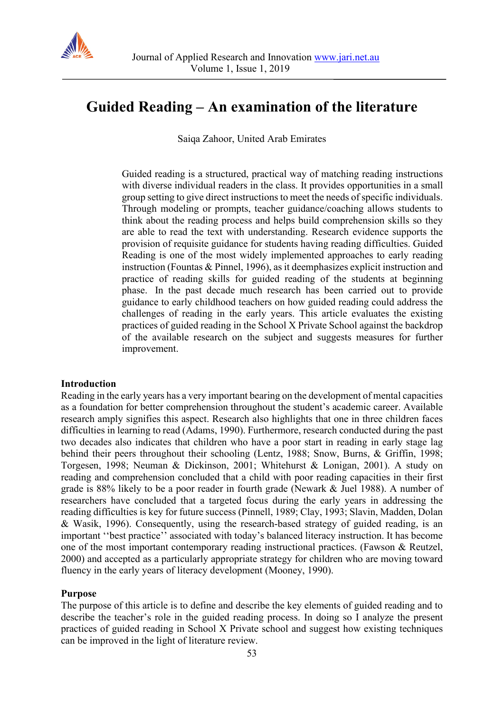

# **Guided Reading – An examination of the literature**

Saiqa Zahoor, United Arab Emirates

Guided reading is a structured, practical way of matching reading instructions with diverse individual readers in the class. It provides opportunities in a small group setting to give direct instructions to meet the needs of specific individuals. Through modeling or prompts, teacher guidance/coaching allows students to think about the reading process and helps build comprehension skills so they are able to read the text with understanding. Research evidence supports the provision of requisite guidance for students having reading difficulties. Guided Reading is one of the most widely implemented approaches to early reading instruction (Fountas & Pinnel, 1996), as it deemphasizes explicit instruction and practice of reading skills for guided reading of the students at beginning phase. In the past decade much research has been carried out to provide guidance to early childhood teachers on how guided reading could address the challenges of reading in the early years. This article evaluates the existing practices of guided reading in the School X Private School against the backdrop of the available research on the subject and suggests measures for further improvement.

## **Introduction**

Reading in the early years has a very important bearing on the development of mental capacities as a foundation for better comprehension throughout the student's academic career. Available research amply signifies this aspect. Research also highlights that one in three children faces difficulties in learning to read (Adams, 1990). Furthermore, research conducted during the past two decades also indicates that children who have a poor start in reading in early stage lag behind their peers throughout their schooling (Lentz, 1988; Snow, Burns, & Griffin, 1998; Torgesen, 1998; Neuman & Dickinson, 2001; Whitehurst & Lonigan, 2001). A study on reading and comprehension concluded that a child with poor reading capacities in their first grade is 88% likely to be a poor reader in fourth grade (Newark & Juel 1988). A number of researchers have concluded that a targeted focus during the early years in addressing the reading difficulties is key for future success (Pinnell, 1989; Clay, 1993; Slavin, Madden, Dolan & Wasik, 1996). Consequently, using the research-based strategy of guided reading, is an important ''best practice'' associated with today's balanced literacy instruction. It has become one of the most important contemporary reading instructional practices. (Fawson & Reutzel, 2000) and accepted as a particularly appropriate strategy for children who are moving toward fluency in the early years of literacy development (Mooney, 1990).

## **Purpose**

The purpose of this article is to define and describe the key elements of guided reading and to describe the teacher's role in the guided reading process. In doing so I analyze the present practices of guided reading in School X Private school and suggest how existing techniques can be improved in the light of literature review.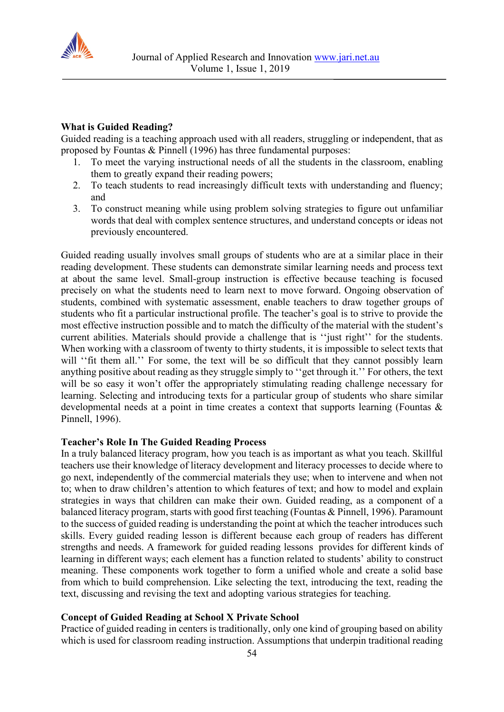

## **What is Guided Reading?**

Guided reading is a teaching approach used with all readers, struggling or independent, that as proposed by Fountas & Pinnell (1996) has three fundamental purposes:

- 1. To meet the varying instructional needs of all the students in the classroom, enabling them to greatly expand their reading powers;
- 2. To teach students to read increasingly difficult texts with understanding and fluency; and
- 3. To construct meaning while using problem solving strategies to figure out unfamiliar words that deal with complex sentence structures, and understand concepts or ideas not previously encountered.

Guided reading usually involves small groups of students who are at a similar place in their reading development. These students can demonstrate similar learning needs and process text at about the same level. Small-group instruction is effective because teaching is focused precisely on what the students need to learn next to move forward. Ongoing observation of students, combined with systematic assessment, enable teachers to draw together groups of students who fit a particular instructional profile. The teacher's goal is to strive to provide the most effective instruction possible and to match the difficulty of the material with the student's current abilities. Materials should provide a challenge that is ''just right'' for the students. When working with a classroom of twenty to thirty students, it is impossible to select texts that will "fit them all." For some, the text will be so difficult that they cannot possibly learn anything positive about reading as they struggle simply to ''get through it.'' For others, the text will be so easy it won't offer the appropriately stimulating reading challenge necessary for learning. Selecting and introducing texts for a particular group of students who share similar developmental needs at a point in time creates a context that supports learning (Fountas & Pinnell, 1996).

## **Teacher's Role In The Guided Reading Process**

In a truly balanced literacy program, how you teach is as important as what you teach. Skillful teachers use their knowledge of literacy development and literacy processes to decide where to go next, independently of the commercial materials they use; when to intervene and when not to; when to draw children's attention to which features of text; and how to model and explain strategies in ways that children can make their own. Guided reading, as a component of a balanced literacy program, starts with good first teaching (Fountas & Pinnell, 1996). Paramount to the success of guided reading is understanding the point at which the teacher introduces such skills. Every guided reading lesson is different because each group of readers has different strengths and needs. A framework for guided reading lessons provides for different kinds of learning in different ways; each element has a function related to students' ability to construct meaning. These components work together to form a unified whole and create a solid base from which to build comprehension. Like selecting the text, introducing the text, reading the text, discussing and revising the text and adopting various strategies for teaching.

## **Concept of Guided Reading at School X Private School**

Practice of guided reading in centers is traditionally, only one kind of grouping based on ability which is used for classroom reading instruction. Assumptions that underpin traditional reading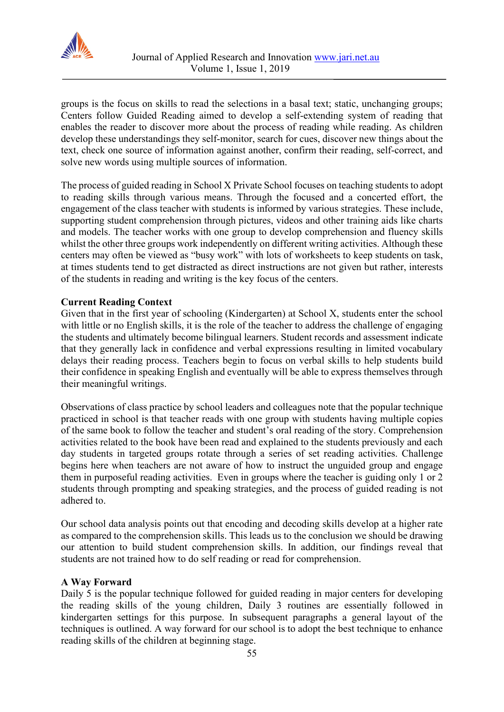

groups is the focus on skills to read the selections in a basal text; static, unchanging groups; Centers follow Guided Reading aimed to develop a self-extending system of reading that enables the reader to discover more about the process of reading while reading. As children develop these understandings they self-monitor, search for cues, discover new things about the text, check one source of information against another, confirm their reading, self-correct, and solve new words using multiple sources of information.

The process of guided reading in School X Private School focuses on teaching students to adopt to reading skills through various means. Through the focused and a concerted effort, the engagement of the class teacher with students is informed by various strategies. These include, supporting student comprehension through pictures, videos and other training aids like charts and models. The teacher works with one group to develop comprehension and fluency skills whilst the other three groups work independently on different writing activities. Although these centers may often be viewed as "busy work" with lots of worksheets to keep students on task, at times students tend to get distracted as direct instructions are not given but rather, interests of the students in reading and writing is the key focus of the centers.

## **Current Reading Context**

Given that in the first year of schooling (Kindergarten) at School X, students enter the school with little or no English skills, it is the role of the teacher to address the challenge of engaging the students and ultimately become bilingual learners. Student records and assessment indicate that they generally lack in confidence and verbal expressions resulting in limited vocabulary delays their reading process. Teachers begin to focus on verbal skills to help students build their confidence in speaking English and eventually will be able to express themselves through their meaningful writings.

Observations of class practice by school leaders and colleagues note that the popular technique practiced in school is that teacher reads with one group with students having multiple copies of the same book to follow the teacher and student's oral reading of the story. Comprehension activities related to the book have been read and explained to the students previously and each day students in targeted groups rotate through a series of set reading activities. Challenge begins here when teachers are not aware of how to instruct the unguided group and engage them in purposeful reading activities. Even in groups where the teacher is guiding only 1 or 2 students through prompting and speaking strategies, and the process of guided reading is not adhered to.

Our school data analysis points out that encoding and decoding skills develop at a higher rate as compared to the comprehension skills. This leads us to the conclusion we should be drawing our attention to build student comprehension skills. In addition, our findings reveal that students are not trained how to do self reading or read for comprehension.

## **A Way Forward**

Daily 5 is the popular technique followed for guided reading in major centers for developing the reading skills of the young children, Daily 3 routines are essentially followed in kindergarten settings for this purpose. In subsequent paragraphs a general layout of the techniques is outlined. A way forward for our school is to adopt the best technique to enhance reading skills of the children at beginning stage.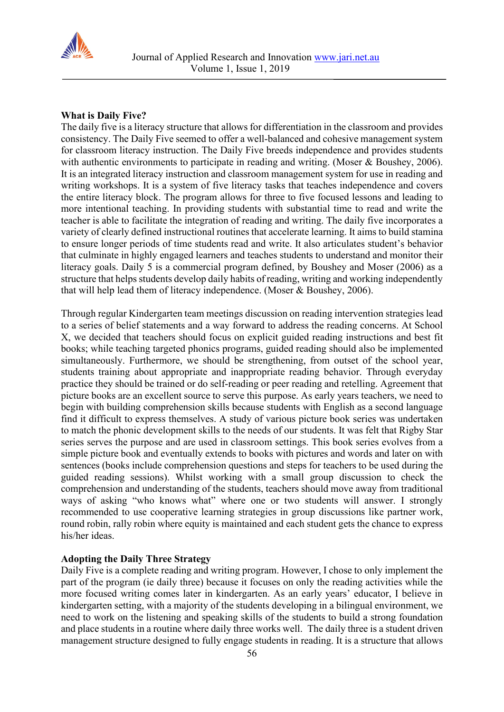

## **What is Daily Five?**

The daily five is a literacy structure that allows for differentiation in the classroom and provides consistency. The Daily Five seemed to offer a well-balanced and cohesive management system for classroom literacy instruction. The Daily Five breeds independence and provides students with authentic environments to participate in reading and writing. (Moser & Boushey, 2006). It is an integrated literacy instruction and classroom management system for use in reading and writing workshops. It is a system of five literacy tasks that teaches independence and covers the entire literacy block. The program allows for three to five focused lessons and leading to more intentional teaching. In providing students with substantial time to read and write the teacher is able to facilitate the integration of reading and writing. The daily five incorporates a variety of clearly defined instructional routines that accelerate learning. It aims to build stamina to ensure longer periods of time students read and write. It also articulates student's behavior that culminate in highly engaged learners and teaches students to understand and monitor their literacy goals. Daily 5 is a commercial program defined, by Boushey and Moser (2006) as a structure that helps students develop daily habits of reading, writing and working independently that will help lead them of literacy independence. (Moser & Boushey, 2006).

Through regular Kindergarten team meetings discussion on reading intervention strategies lead to a series of belief statements and a way forward to address the reading concerns. At School X, we decided that teachers should focus on explicit guided reading instructions and best fit books; while teaching targeted phonics programs, guided reading should also be implemented simultaneously. Furthermore, we should be strengthening, from outset of the school year, students training about appropriate and inappropriate reading behavior. Through everyday practice they should be trained or do self-reading or peer reading and retelling. Agreement that picture books are an excellent source to serve this purpose. As early years teachers, we need to begin with building comprehension skills because students with English as a second language find it difficult to express themselves. A study of various picture book series was undertaken to match the phonic development skills to the needs of our students. It was felt that Rigby Star series serves the purpose and are used in classroom settings. This book series evolves from a simple picture book and eventually extends to books with pictures and words and later on with sentences (books include comprehension questions and steps for teachers to be used during the guided reading sessions). Whilst working with a small group discussion to check the comprehension and understanding of the students, teachers should move away from traditional ways of asking "who knows what" where one or two students will answer. I strongly recommended to use cooperative learning strategies in group discussions like partner work, round robin, rally robin where equity is maintained and each student gets the chance to express his/her ideas.

## **Adopting the Daily Three Strategy**

Daily Five is a complete reading and writing program. However, I chose to only implement the part of the program (ie daily three) because it focuses on only the reading activities while the more focused writing comes later in kindergarten. As an early years' educator, I believe in kindergarten setting, with a majority of the students developing in a bilingual environment, we need to work on the listening and speaking skills of the students to build a strong foundation and place students in a routine where daily three works well. The daily three is a student driven management structure designed to fully engage students in reading. It is a structure that allows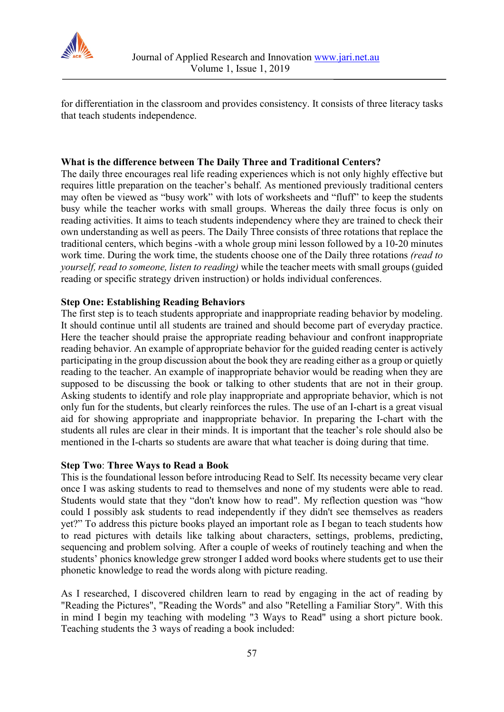

for differentiation in the classroom and provides consistency. It consists of three literacy tasks that teach students independence.

## **What is the difference between The Daily Three and Traditional Centers?**

The daily three encourages real life reading experiences which is not only highly effective but requires little preparation on the teacher's behalf. As mentioned previously traditional centers may often be viewed as "busy work" with lots of worksheets and "fluff" to keep the students busy while the teacher works with small groups. Whereas the daily three focus is only on reading activities. It aims to teach students independency where they are trained to check their own understanding as well as peers. The Daily Three consists of three rotations that replace the traditional centers, which begins -with a whole group mini lesson followed by a 10-20 minutes work time. During the work time, the students choose one of the Daily three rotations *(read to yourself, read to someone, listen to reading)* while the teacher meets with small groups (guided reading or specific strategy driven instruction) or holds individual conferences.

## **Step One: Establishing Reading Behaviors**

The first step is to teach students appropriate and inappropriate reading behavior by modeling. It should continue until all students are trained and should become part of everyday practice. Here the teacher should praise the appropriate reading behaviour and confront inappropriate reading behavior. An example of appropriate behavior for the guided reading center is actively participating in the group discussion about the book they are reading either as a group or quietly reading to the teacher. An example of inappropriate behavior would be reading when they are supposed to be discussing the book or talking to other students that are not in their group. Asking students to identify and role play inappropriate and appropriate behavior, which is not only fun for the students, but clearly reinforces the rules. The use of an I-chart is a great visual aid for showing appropriate and inappropriate behavior. In preparing the I-chart with the students all rules are clear in their minds. It is important that the teacher's role should also be mentioned in the I-charts so students are aware that what teacher is doing during that time.

## **Step Two**: **Three Ways to Read a Book**

This is the foundational lesson before introducing Read to Self. Its necessity became very clear once I was asking students to read to themselves and none of my students were able to read. Students would state that they "don't know how to read". My reflection question was "how could I possibly ask students to read independently if they didn't see themselves as readers yet?" To address this picture books played an important role as I began to teach students how to read pictures with details like talking about characters, settings, problems, predicting, sequencing and problem solving. After a couple of weeks of routinely teaching and when the students' phonics knowledge grew stronger I added word books where students get to use their phonetic knowledge to read the words along with picture reading.

As I researched, I discovered children learn to read by engaging in the act of reading by "Reading the Pictures", "Reading the Words" and also "Retelling a Familiar Story". With this in mind I begin my teaching with modeling "3 Ways to Read" using a short picture book. Teaching students the 3 ways of reading a book included: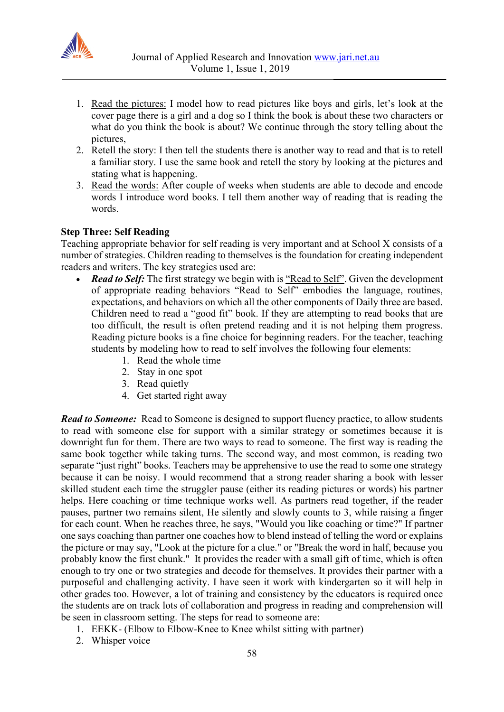

- 1. Read the pictures: I model how to read pictures like boys and girls, let's look at the cover page there is a girl and a dog so I think the book is about these two characters or what do you think the book is about? We continue through the story telling about the pictures,
- 2. Retell the story: I then tell the students there is another way to read and that is to retell a familiar story. I use the same book and retell the story by looking at the pictures and stating what is happening.
- 3. Read the words: After couple of weeks when students are able to decode and encode words I introduce word books. I tell them another way of reading that is reading the words.

## **Step Three: Self Reading**

Teaching appropriate behavior for self reading is very important and at School X consists of a number of strategies. Children reading to themselves is the foundation for creating independent readers and writers. The key strategies used are:

- *Read to Self:* The first strategy we begin with is "Read to Self". Given the development of appropriate reading behaviors "Read to Self" embodies the language, routines, expectations, and behaviors on which all the other components of Daily three are based. Children need to read a "good fit" book. If they are attempting to read books that are too difficult, the result is often pretend reading and it is not helping them progress. Reading picture books is a fine choice for beginning readers. For the teacher, teaching students by modeling how to read to self involves the following four elements:
	- 1. Read the whole time
	- 2. Stay in one spot
	- 3. Read quietly
	- 4. Get started right away

*Read to Someone:* Read to Someone is designed to support fluency practice, to allow students to read with someone else for support with a similar strategy or sometimes because it is downright fun for them. There are two ways to read to someone. The first way is reading the same book together while taking turns. The second way, and most common, is reading two separate "just right" books. Teachers may be apprehensive to use the read to some one strategy because it can be noisy. I would recommend that a strong reader sharing a book with lesser skilled student each time the struggler pause (either its reading pictures or words) his partner helps. Here coaching or time technique works well. As partners read together, if the reader pauses, partner two remains silent, He silently and slowly counts to 3, while raising a finger for each count. When he reaches three, he says, "Would you like coaching or time?" If partner one says coaching than partner one coaches how to blend instead of telling the word or explains the picture or may say, "Look at the picture for a clue." or "Break the word in half, because you probably know the first chunk." It provides the reader with a small gift of time, which is often enough to try one or two strategies and decode for themselves. It provides their partner with a purposeful and challenging activity. I have seen it work with kindergarten so it will help in other grades too. However, a lot of training and consistency by the educators is required once the students are on track lots of collaboration and progress in reading and comprehension will be seen in classroom setting. The steps for read to someone are:

- 1. EEKK- (Elbow to Elbow-Knee to Knee whilst sitting with partner)
- 2. Whisper voice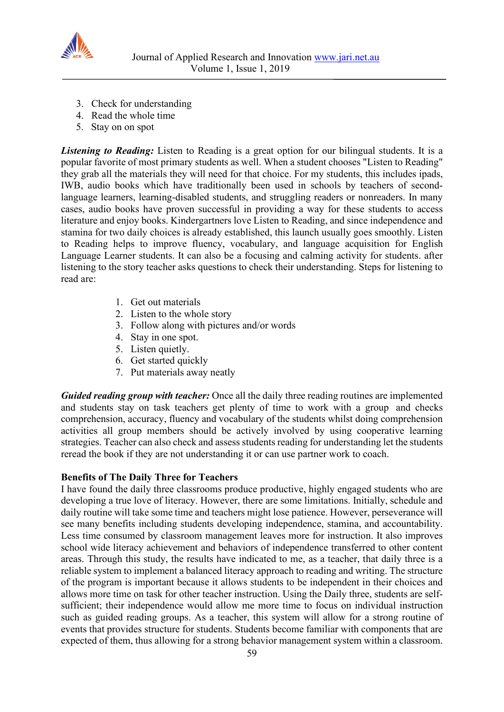

- 3. Check for understanding
- 4. Read the whole time
- 5. Stay on on spot

*Listening to Reading:* Listen to Reading is a great option for our bilingual students. It is a popular favorite of most primary students as well. When a student chooses "Listen to Reading" they grab all the materials they will need for that choice. For my students, this includes ipads, IWB, audio books which have traditionally been used in schools by teachers of secondlanguage learners, learning-disabled students, and struggling readers or nonreaders. In many cases, audio books have proven successful in providing a way for these students to access literature and enjoy books. Kindergartners love Listen to Reading, and since independence and stamina for two daily choices is already established, this launch usually goes smoothly. Listen to Reading helps to improve fluency, vocabulary, and language acquisition for English Language Learner students. It can also be a focusing and calming activity for students. after listening to the story teacher asks questions to check their understanding. Steps for listening to read are:

- 1. Get out materials
- 2. Listen to the whole story
- 3. Follow along with pictures and/or words
- 4. Stay in one spot.
- 5. Listen quietly.
- 6. Get started quickly
- 7. Put materials away neatly

*Guided reading group with teacher:* Once all the daily three reading routines are implemented and students stay on task teachers get plenty of time to work with a group and checks comprehension, accuracy, fluency and vocabulary of the students whilst doing comprehension activities all group members should be actively involved by using cooperative learning strategies. Teacher can also check and assess students reading for understanding let the students reread the book if they are not understanding it or can use partner work to coach.

## **Benefits of The Daily Three for Teachers**

I have found the daily three classrooms produce productive, highly engaged students who are developing a true love of literacy. However, there are some limitations. Initially, schedule and daily routine will take some time and teachers might lose patience. However, perseverance will see many benefits including students developing independence, stamina, and accountability. Less time consumed by classroom management leaves more for instruction. It also improves school wide literacy achievement and behaviors of independence transferred to other content areas. Through this study, the results have indicated to me, as a teacher, that daily three is a reliable system to implement a balanced literacy approach to reading and writing. The structure of the program is important because it allows students to be independent in their choices and allows more time on task for other teacher instruction. Using the Daily three, students are selfsufficient; their independence would allow me more time to focus on individual instruction such as guided reading groups. As a teacher, this system will allow for a strong routine of events that provides structure for students. Students become familiar with components that are expected of them, thus allowing for a strong behavior management system within a classroom.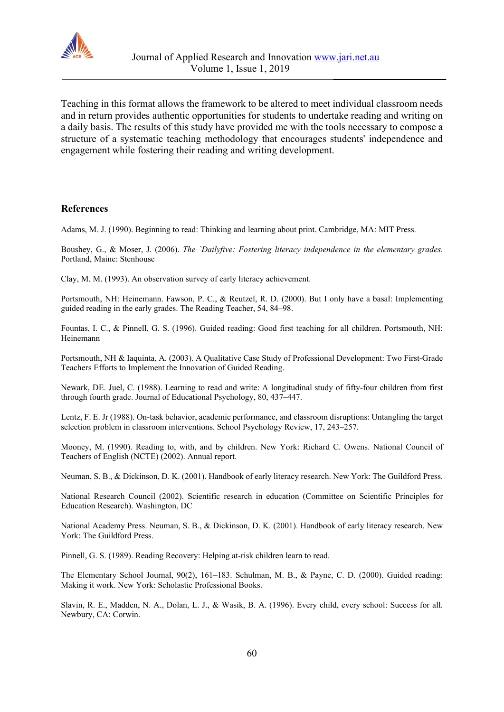

Teaching in this format allows the framework to be altered to meet individual classroom needs and in return provides authentic opportunities for students to undertake reading and writing on a daily basis. The results of this study have provided me with the tools necessary to compose a structure of a systematic teaching methodology that encourages students' independence and engagement while fostering their reading and writing development.

#### **References**

Adams, M. J. (1990). Beginning to read: Thinking and learning about print. Cambridge, MA: MIT Press.

Boushey, G., & Moser, J. (2006). *The `Dailyfive: Fostering literacy independence in the elementary grades.*  Portland, Maine: Stenhouse

Clay, M. M. (1993). An observation survey of early literacy achievement.

Portsmouth, NH: Heinemann. Fawson, P. C., & Reutzel, R. D. (2000). But I only have a basal: Implementing guided reading in the early grades. The Reading Teacher, 54, 84–98.

Fountas, I. C., & Pinnell, G. S. (1996). Guided reading: Good first teaching for all children. Portsmouth, NH: Heinemann

Portsmouth, NH & Iaquinta, A. (2003). A Qualitative Case Study of Professional Development: Two First-Grade Teachers Efforts to Implement the Innovation of Guided Reading.

Newark, DE. Juel, C. (1988). Learning to read and write: A longitudinal study of fifty-four children from first through fourth grade. Journal of Educational Psychology, 80, 437–447.

Lentz, F. E. Jr (1988). On-task behavior, academic performance, and classroom disruptions: Untangling the target selection problem in classroom interventions. School Psychology Review, 17, 243–257.

Mooney, M. (1990). Reading to, with, and by children. New York: Richard C. Owens. National Council of Teachers of English (NCTE) (2002). Annual report.

Neuman, S. B., & Dickinson, D. K. (2001). Handbook of early literacy research. New York: The Guildford Press.

National Research Council (2002). Scientific research in education (Committee on Scientific Principles for Education Research). Washington, DC

National Academy Press. Neuman, S. B., & Dickinson, D. K. (2001). Handbook of early literacy research. New York: The Guildford Press.

Pinnell, G. S. (1989). Reading Recovery: Helping at-risk children learn to read.

The Elementary School Journal, 90(2), 161–183. Schulman, M. B., & Payne, C. D. (2000). Guided reading: Making it work. New York: Scholastic Professional Books.

Slavin, R. E., Madden, N. A., Dolan, L. J., & Wasik, B. A. (1996). Every child, every school: Success for all. Newbury, CA: Corwin.